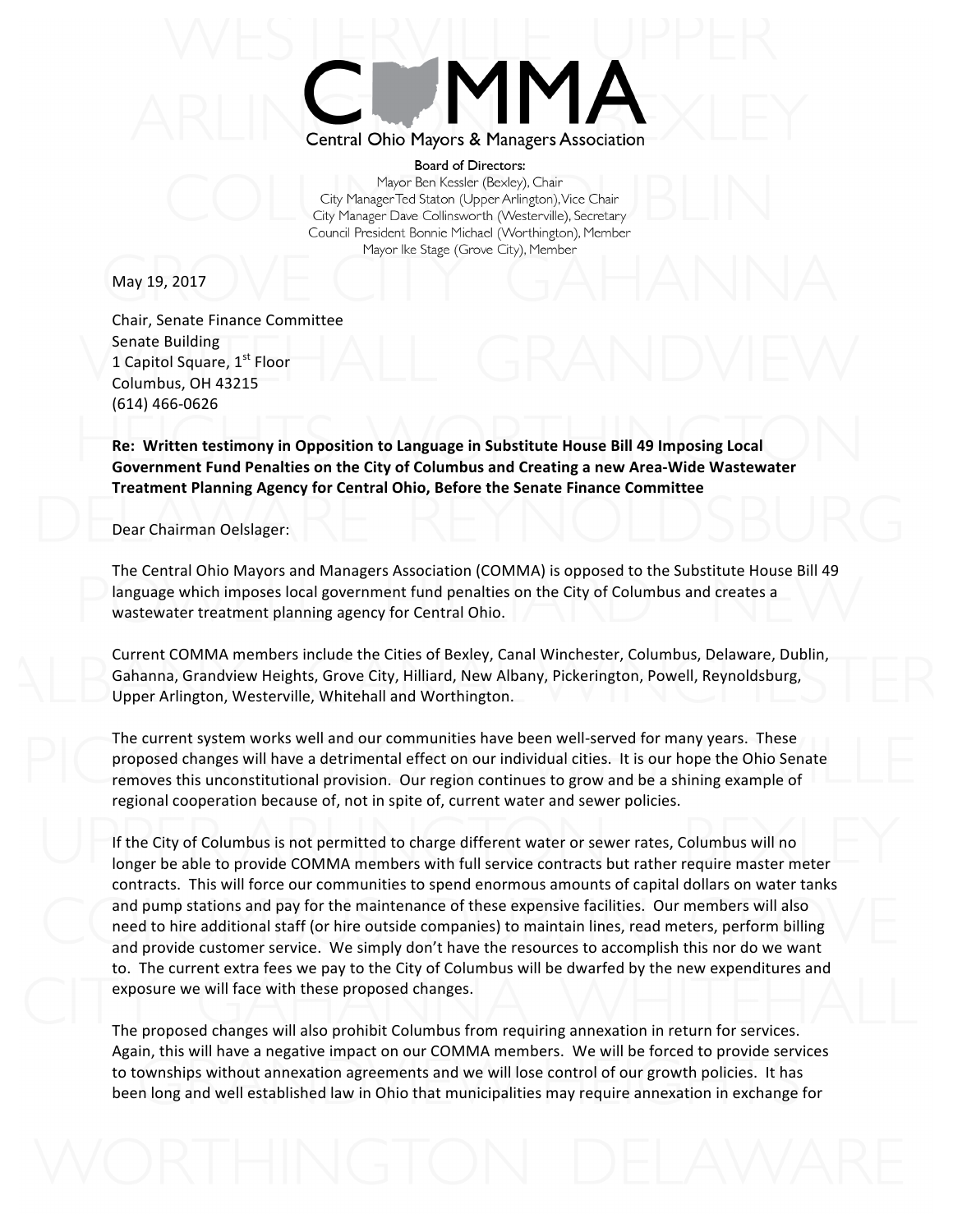

**Board of Directors:** Mayor Ben Kessler (Bexley), Chair City Manager Ted Staton (Upper Arlington), Vice Chair City Manager Dave Collinsworth (Westerville), Secretary Council President Bonnie Michael (Worthington), Member Mayor Ike Stage (Grove City), Member

May 19, 2017

Chair, Senate Finance Committee Senate Building 1 Capitol Square,  $1<sup>st</sup>$  Floor Columbus, OH 43215 (614) 466-0626

**Re: Written testimony in Opposition to Language in Substitute House Bill 49 Imposing Local** Government Fund Penalties on the City of Columbus and Creating a new Area-Wide Wastewater **Treatment Planning Agency for Central Ohio, Before the Senate Finance Committee** 

Dear Chairman Oelslager:

The Central Ohio Mayors and Managers Association (COMMA) is opposed to the Substitute House Bill 49 language which imposes local government fund penalties on the City of Columbus and creates a wastewater treatment planning agency for Central Ohio.

Current COMMA members include the Cities of Bexley, Canal Winchester, Columbus, Delaware, Dublin, Gahanna, Grandview Heights, Grove City, Hilliard, New Albany, Pickerington, Powell, Reynoldsburg, Upper Arlington, Westerville, Whitehall and Worthington.

The current system works well and our communities have been well-served for many years. These proposed changes will have a detrimental effect on our individual cities. It is our hope the Ohio Senate removes this unconstitutional provision. Our region continues to grow and be a shining example of regional cooperation because of, not in spite of, current water and sewer policies.

If the City of Columbus is not permitted to charge different water or sewer rates, Columbus will no longer be able to provide COMMA members with full service contracts but rather require master meter contracts. This will force our communities to spend enormous amounts of capital dollars on water tanks and pump stations and pay for the maintenance of these expensive facilities. Our members will also need to hire additional staff (or hire outside companies) to maintain lines, read meters, perform billing and provide customer service. We simply don't have the resources to accomplish this nor do we want to. The current extra fees we pay to the City of Columbus will be dwarfed by the new expenditures and exposure we will face with these proposed changes.

The proposed changes will also prohibit Columbus from requiring annexation in return for services. Again, this will have a negative impact on our COMMA members. We will be forced to provide services to townships without annexation agreements and we will lose control of our growth policies. It has been long and well established law in Ohio that municipalities may require annexation in exchange for